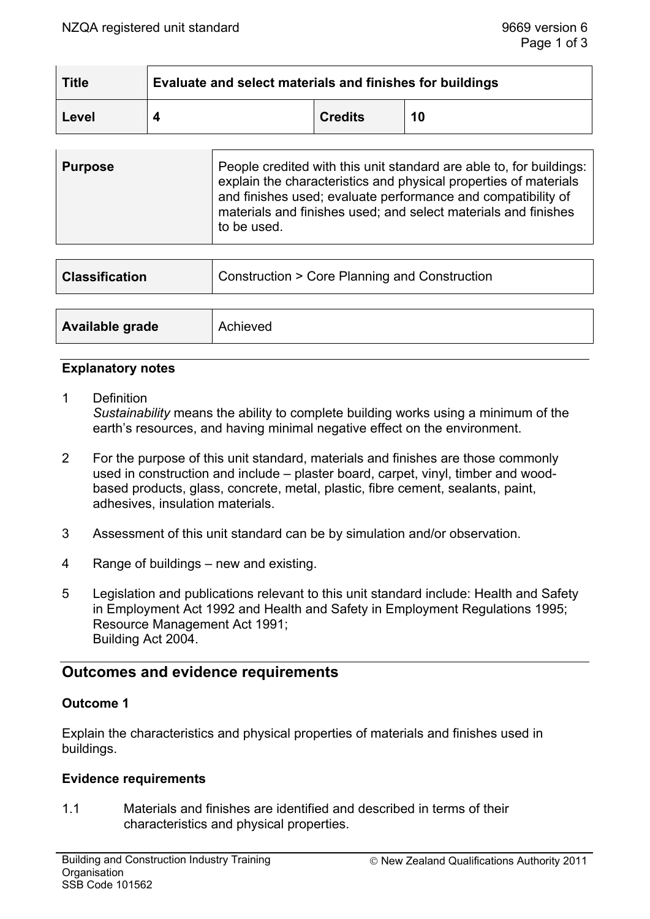| <b>Title</b> | Evaluate and select materials and finishes for buildings |                |    |  |
|--------------|----------------------------------------------------------|----------------|----|--|
| Level        |                                                          | <b>Credits</b> | 10 |  |

| explain the characteristics and physical properties of materials<br>and finishes used; evaluate performance and compatibility of<br>materials and finishes used; and select materials and finishes<br>to be used. | <b>Purpose</b> | People credited with this unit standard are able to, for buildings: |
|-------------------------------------------------------------------------------------------------------------------------------------------------------------------------------------------------------------------|----------------|---------------------------------------------------------------------|
|-------------------------------------------------------------------------------------------------------------------------------------------------------------------------------------------------------------------|----------------|---------------------------------------------------------------------|

| <b>Classification</b> | Construction > Core Planning and Construction |  |
|-----------------------|-----------------------------------------------|--|
|                       |                                               |  |
| Available grade       | Achieved                                      |  |

### **Explanatory notes**

- 1 Definition *Sustainability* means the ability to complete building works using a minimum of the earth's resources, and having minimal negative effect on the environment.
- 2 For the purpose of this unit standard, materials and finishes are those commonly used in construction and include – plaster board, carpet, vinyl, timber and woodbased products, glass, concrete, metal, plastic, fibre cement, sealants, paint, adhesives, insulation materials.
- 3 Assessment of this unit standard can be by simulation and/or observation.
- 4 Range of buildings new and existing.
- 5 Legislation and publications relevant to this unit standard include: Health and Safety in Employment Act 1992 and Health and Safety in Employment Regulations 1995; Resource Management Act 1991; Building Act 2004.

# **Outcomes and evidence requirements**

### **Outcome 1**

Explain the characteristics and physical properties of materials and finishes used in buildings.

### **Evidence requirements**

1.1 Materials and finishes are identified and described in terms of their characteristics and physical properties.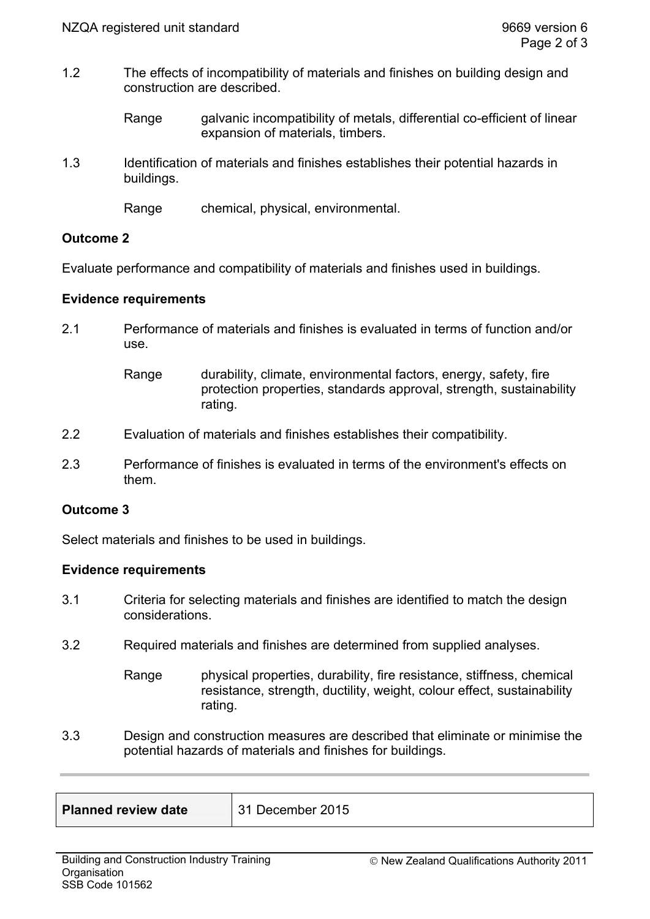1.2 The effects of incompatibility of materials and finishes on building design and construction are described.

> Range galvanic incompatibility of metals, differential co-efficient of linear expansion of materials, timbers.

1.3 Identification of materials and finishes establishes their potential hazards in buildings.

Range chemical, physical, environmental.

### **Outcome 2**

Evaluate performance and compatibility of materials and finishes used in buildings.

### **Evidence requirements**

2.1 Performance of materials and finishes is evaluated in terms of function and/or use.

- 2.2 Evaluation of materials and finishes establishes their compatibility.
- 2.3 Performance of finishes is evaluated in terms of the environment's effects on them.

# **Outcome 3**

Select materials and finishes to be used in buildings.

### **Evidence requirements**

- 3.1 Criteria for selecting materials and finishes are identified to match the design considerations.
- 3.2 Required materials and finishes are determined from supplied analyses.
	- Range physical properties, durability, fire resistance, stiffness, chemical resistance, strength, ductility, weight, colour effect, sustainability rating.
- 3.3 Design and construction measures are described that eliminate or minimise the potential hazards of materials and finishes for buildings.

| <b>Planned review date</b> | 31 December 2015 |
|----------------------------|------------------|
|                            |                  |

Range durability, climate, environmental factors, energy, safety, fire protection properties, standards approval, strength, sustainability rating.